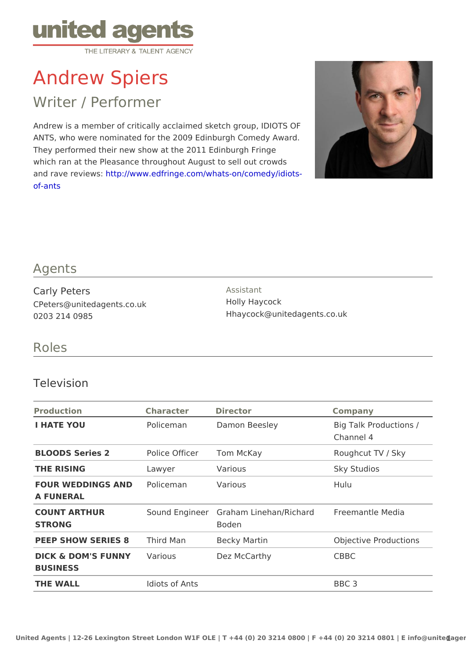# Andrew Spiers

## Writer / Performer

Andrew is a member of critically acclaimed sketch group, IDIOTS OF ANTS, who were nominated for the 2009 Edinburgh Comedy Award. They performed their new show at the 2011 Edinburgh Fringe which ran at the Pleasance throughout August to sell out crowds and rave revitet to p://www.edfringe.com/whats-on/comedy/idiots[of-an](http://www.edfringe.com/whats-on/comedy/idiots-of-ants)ts

#### Agents

Carly Peters CPeters@unitedagents.co.uk 0203 214 0985

Assistant Holly Haycock Hhaycock@unitedagents.co.uk

#### Roles

#### Television

| Production                                     | Character Director |                                                           | Company                             |
|------------------------------------------------|--------------------|-----------------------------------------------------------|-------------------------------------|
| I HATE YOU                                     |                    | Policeman Damon Beesley                                   | Big Talk Productions /<br>Channel 4 |
| BLOODS Series 2  Police OfficeTom McKay        |                    |                                                           | Roughcut TV / Sky                   |
| THE RISING                                     | Lawyer             | Various                                                   | Sky Studios                         |
| FOUR WEDDINGS AND Diceman Various<br>A FUNERAL |                    |                                                           | Hulu                                |
| COUNT ARTHUR<br>STRONG                         |                    | Sound Engin Geraham Linehan/Richardemantle Media<br>Boden |                                     |
| PEEP SHOW SERIEST&ird Man                      |                    | Becky Martin                                              | Objective Productions               |
| DICK & DOM'S FUNNWarious<br><b>BUSINESS</b>    |                    | Dez McCarthy                                              | CBBC                                |
| THE WALL                                       | Idiots of Ants     |                                                           | BBC 3                               |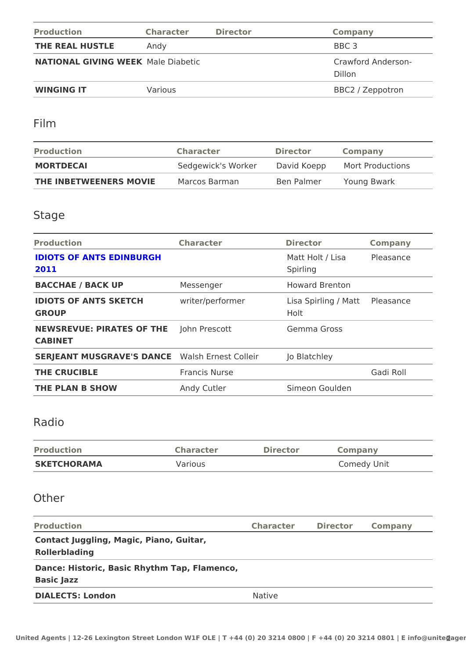| Production                       | Character Director |                              | Company          |
|----------------------------------|--------------------|------------------------------|------------------|
| THE REAL HUSTLE Andy             |                    |                              | BBC 3            |
| NATIONAL GIVING WMEELKE Diabetic |                    | Crawford Anderson-<br>Dillon |                  |
| WINGING IT                       | Various            |                              | BBC2 / Zeppotron |

### Film

| Production                         | Character | Director | Company                                     |
|------------------------------------|-----------|----------|---------------------------------------------|
| MORTDECAL                          |           |          | Sedgewick's WorkDavid KoeppMort Productions |
| THE INBETWEENERS MOVMEarcos Barman |           |          | Ben Palmer Young Bwark                      |

## Stage

| Production                                             | Character     | Director                              | Company   |  |
|--------------------------------------------------------|---------------|---------------------------------------|-----------|--|
| <b>IDIOTS OF ANTS EDINBURGH</b><br>2011                |               | Matt Holt / LisaPleasance<br>Spirling |           |  |
| BACCHAE / BACK UP                                      | Messenger     | Howard Brenton                        |           |  |
| IDIOTS OF ANTS SKETCH writer/performer<br>GROUP        |               | Lisa Spirling / Matasance<br>Holt     |           |  |
| NEWSREVUE: PIRATES OFJJHINE Prescott<br>CABINET        |               | Gemma Gross                           |           |  |
| SERJEANT MUSGRAVE'S DWAANGE Ernest ColleiJro Blatchley |               |                                       |           |  |
| THE CRUCIBLE                                           | Francis Nurse |                                       | Gadi Roll |  |
| THE PLAN B SHOW                                        | Andy Cutler   | Simeon Goulden                        |           |  |

## Radio

| Production  | Character | Director | Company     |
|-------------|-----------|----------|-------------|
| SKETCHORAMA | Various   |          | Comedy Unit |

## Other

| Production                                   | Character Director Company |  |  |  |
|----------------------------------------------|----------------------------|--|--|--|
| Contact Juggling, Magic, Piano, Guitar,      |                            |  |  |  |
| Rollerblading                                |                            |  |  |  |
| Dance: Historic, Basic Rhythm Tap, Flamenco, |                            |  |  |  |
| Basic Jazz                                   |                            |  |  |  |
| DIALECTS: London                             | Native                     |  |  |  |